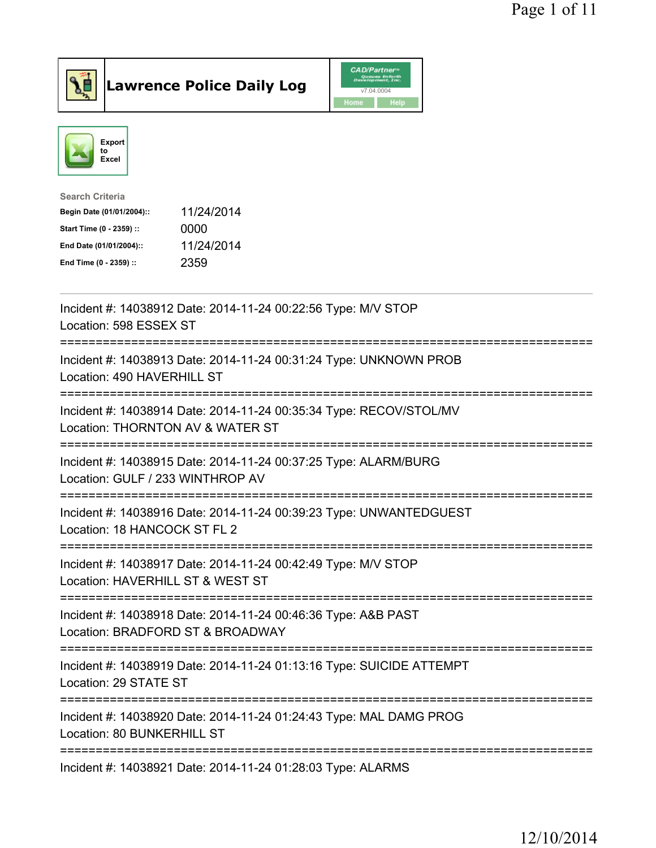



| <b>Search Criteria</b>    |            |
|---------------------------|------------|
| Begin Date (01/01/2004):: | 11/24/2014 |
| Start Time (0 - 2359) ::  | 0000       |
| End Date (01/01/2004)::   | 11/24/2014 |
| End Time (0 - 2359) ::    | 2359       |
|                           |            |

| Incident #: 14038912 Date: 2014-11-24 00:22:56 Type: M/V STOP<br>Location: 598 ESSEX ST                                   |
|---------------------------------------------------------------------------------------------------------------------------|
| Incident #: 14038913 Date: 2014-11-24 00:31:24 Type: UNKNOWN PROB<br>Location: 490 HAVERHILL ST                           |
| Incident #: 14038914 Date: 2014-11-24 00:35:34 Type: RECOV/STOL/MV<br>Location: THORNTON AV & WATER ST                    |
| Incident #: 14038915 Date: 2014-11-24 00:37:25 Type: ALARM/BURG<br>Location: GULF / 233 WINTHROP AV                       |
| Incident #: 14038916 Date: 2014-11-24 00:39:23 Type: UNWANTEDGUEST<br>Location: 18 HANCOCK ST FL 2                        |
| Incident #: 14038917 Date: 2014-11-24 00:42:49 Type: M/V STOP<br>Location: HAVERHILL ST & WEST ST                         |
| Incident #: 14038918 Date: 2014-11-24 00:46:36 Type: A&B PAST<br>Location: BRADFORD ST & BROADWAY                         |
| Incident #: 14038919 Date: 2014-11-24 01:13:16 Type: SUICIDE ATTEMPT<br>Location: 29 STATE ST<br>======================== |
| Incident #: 14038920 Date: 2014-11-24 01:24:43 Type: MAL DAMG PROG<br>Location: 80 BUNKERHILL ST                          |
| Incident #: 14038921 Date: 2014-11-24 01:28:03 Type: ALARMS                                                               |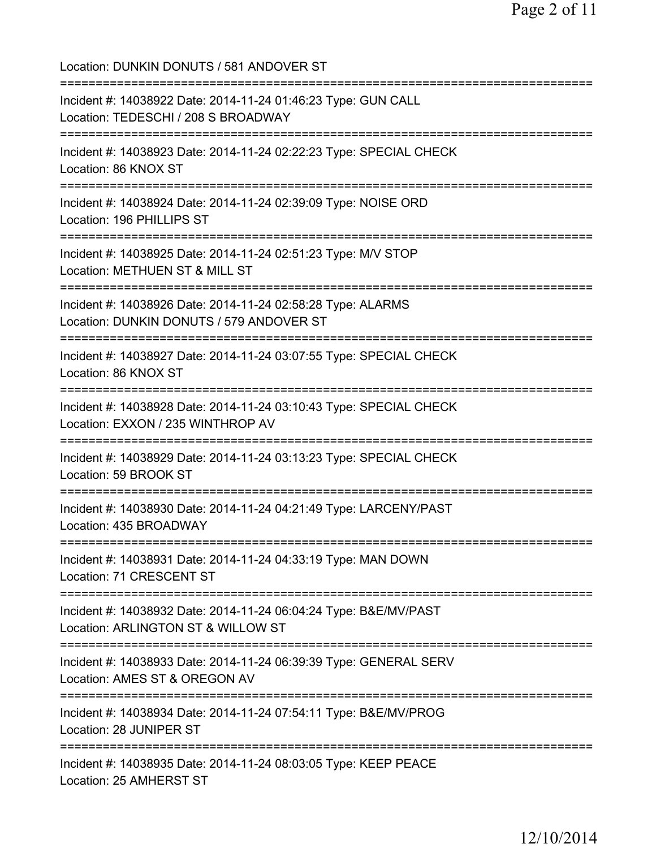Location: DUNKIN DONUTS / 581 ANDOVER ST =========================================================================== Incident #: 14038922 Date: 2014-11-24 01:46:23 Type: GUN CALL Location: TEDESCHI / 208 S BROADWAY =========================================================================== Incident #: 14038923 Date: 2014-11-24 02:22:23 Type: SPECIAL CHECK Location: 86 KNOX ST =========================================================================== Incident #: 14038924 Date: 2014-11-24 02:39:09 Type: NOISE ORD Location: 196 PHILLIPS ST =========================================================================== Incident #: 14038925 Date: 2014-11-24 02:51:23 Type: M/V STOP Location: METHUEN ST & MILL ST =========================================================================== Incident #: 14038926 Date: 2014-11-24 02:58:28 Type: ALARMS Location: DUNKIN DONUTS / 579 ANDOVER ST =========================================================================== Incident #: 14038927 Date: 2014-11-24 03:07:55 Type: SPECIAL CHECK Location: 86 KNOX ST =========================================================================== Incident #: 14038928 Date: 2014-11-24 03:10:43 Type: SPECIAL CHECK Location: EXXON / 235 WINTHROP AV =========================================================================== Incident #: 14038929 Date: 2014-11-24 03:13:23 Type: SPECIAL CHECK Location: 59 BROOK ST =========================================================================== Incident #: 14038930 Date: 2014-11-24 04:21:49 Type: LARCENY/PAST Location: 435 BROADWAY =========================================================================== Incident #: 14038931 Date: 2014-11-24 04:33:19 Type: MAN DOWN Location: 71 CRESCENT ST =========================================================================== Incident #: 14038932 Date: 2014-11-24 06:04:24 Type: B&E/MV/PAST Location: ARLINGTON ST & WILLOW ST =========================================================================== Incident #: 14038933 Date: 2014-11-24 06:39:39 Type: GENERAL SERV Location: AMES ST & OREGON AV =========================================================================== Incident #: 14038934 Date: 2014-11-24 07:54:11 Type: B&E/MV/PROG Location: 28 JUNIPER ST =========================================================================== Incident #: 14038935 Date: 2014-11-24 08:03:05 Type: KEEP PEACE Location: 25 AMHERST ST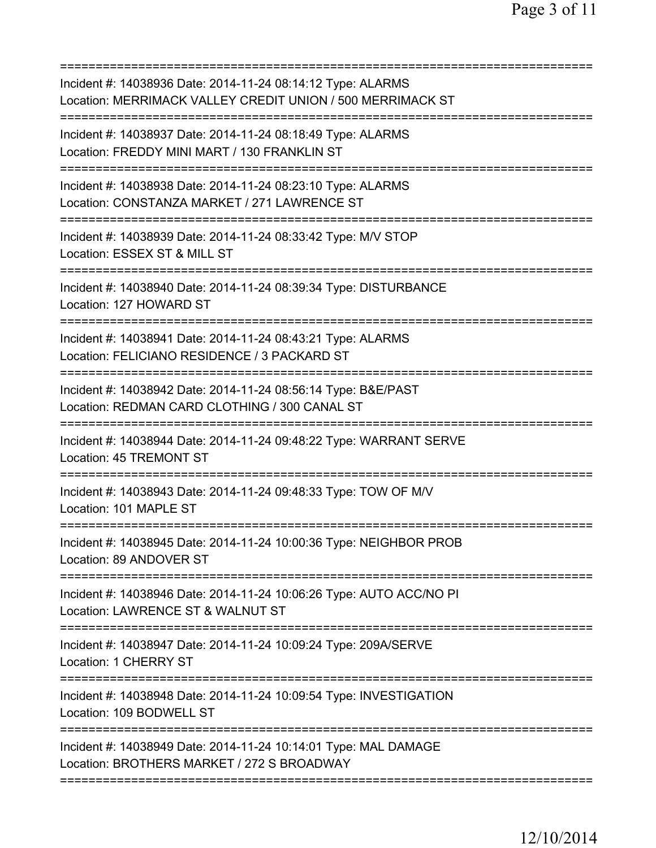=========================================================================== Incident #: 14038936 Date: 2014-11-24 08:14:12 Type: ALARMS Location: MERRIMACK VALLEY CREDIT UNION / 500 MERRIMACK ST =========================================================================== Incident #: 14038937 Date: 2014-11-24 08:18:49 Type: ALARMS Location: FREDDY MINI MART / 130 FRANKLIN ST =========================================================================== Incident #: 14038938 Date: 2014-11-24 08:23:10 Type: ALARMS Location: CONSTANZA MARKET / 271 LAWRENCE ST =========================================================================== Incident #: 14038939 Date: 2014-11-24 08:33:42 Type: M/V STOP Location: ESSEX ST & MILL ST =========================================================================== Incident #: 14038940 Date: 2014-11-24 08:39:34 Type: DISTURBANCE Location: 127 HOWARD ST =========================================================================== Incident #: 14038941 Date: 2014-11-24 08:43:21 Type: ALARMS Location: FELICIANO RESIDENCE / 3 PACKARD ST =========================================================================== Incident #: 14038942 Date: 2014-11-24 08:56:14 Type: B&E/PAST Location: REDMAN CARD CLOTHING / 300 CANAL ST =========================================================================== Incident #: 14038944 Date: 2014-11-24 09:48:22 Type: WARRANT SERVE Location: 45 TREMONT ST =========================================================================== Incident #: 14038943 Date: 2014-11-24 09:48:33 Type: TOW OF M/V Location: 101 MAPLE ST =========================================================================== Incident #: 14038945 Date: 2014-11-24 10:00:36 Type: NEIGHBOR PROB Location: 89 ANDOVER ST =========================================================================== Incident #: 14038946 Date: 2014-11-24 10:06:26 Type: AUTO ACC/NO PI Location: LAWRENCE ST & WALNUT ST =========================================================================== Incident #: 14038947 Date: 2014-11-24 10:09:24 Type: 209A/SERVE Location: 1 CHERRY ST =========================================================================== Incident #: 14038948 Date: 2014-11-24 10:09:54 Type: INVESTIGATION Location: 109 BODWELL ST =========================================================================== Incident #: 14038949 Date: 2014-11-24 10:14:01 Type: MAL DAMAGE Location: BROTHERS MARKET / 272 S BROADWAY ===========================================================================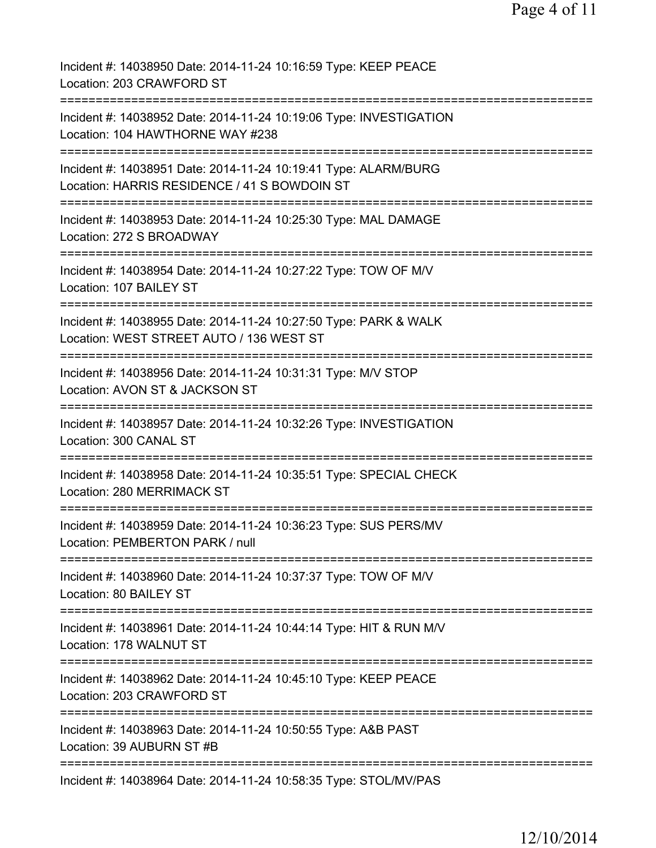| Incident #: 14038950 Date: 2014-11-24 10:16:59 Type: KEEP PEACE<br>Location: 203 CRAWFORD ST                    |
|-----------------------------------------------------------------------------------------------------------------|
| Incident #: 14038952 Date: 2014-11-24 10:19:06 Type: INVESTIGATION<br>Location: 104 HAWTHORNE WAY #238          |
| Incident #: 14038951 Date: 2014-11-24 10:19:41 Type: ALARM/BURG<br>Location: HARRIS RESIDENCE / 41 S BOWDOIN ST |
| Incident #: 14038953 Date: 2014-11-24 10:25:30 Type: MAL DAMAGE<br>Location: 272 S BROADWAY                     |
| Incident #: 14038954 Date: 2014-11-24 10:27:22 Type: TOW OF M/V<br>Location: 107 BAILEY ST                      |
| Incident #: 14038955 Date: 2014-11-24 10:27:50 Type: PARK & WALK<br>Location: WEST STREET AUTO / 136 WEST ST    |
| Incident #: 14038956 Date: 2014-11-24 10:31:31 Type: M/V STOP<br>Location: AVON ST & JACKSON ST<br>=========    |
| Incident #: 14038957 Date: 2014-11-24 10:32:26 Type: INVESTIGATION<br>Location: 300 CANAL ST                    |
| Incident #: 14038958 Date: 2014-11-24 10:35:51 Type: SPECIAL CHECK<br>Location: 280 MERRIMACK ST                |
| Incident #: 14038959 Date: 2014-11-24 10:36:23 Type: SUS PERS/MV<br>Location: PEMBERTON PARK / null             |
| Incident #: 14038960 Date: 2014-11-24 10:37:37 Type: TOW OF M/V<br>Location: 80 BAILEY ST                       |
| Incident #: 14038961 Date: 2014-11-24 10:44:14 Type: HIT & RUN M/V<br>Location: 178 WALNUT ST                   |
| Incident #: 14038962 Date: 2014-11-24 10:45:10 Type: KEEP PEACE<br>Location: 203 CRAWFORD ST                    |
| Incident #: 14038963 Date: 2014-11-24 10:50:55 Type: A&B PAST<br>Location: 39 AUBURN ST #B                      |
| Incident #: 14038964 Date: 2014-11-24 10:58:35 Type: STOL/MV/PAS                                                |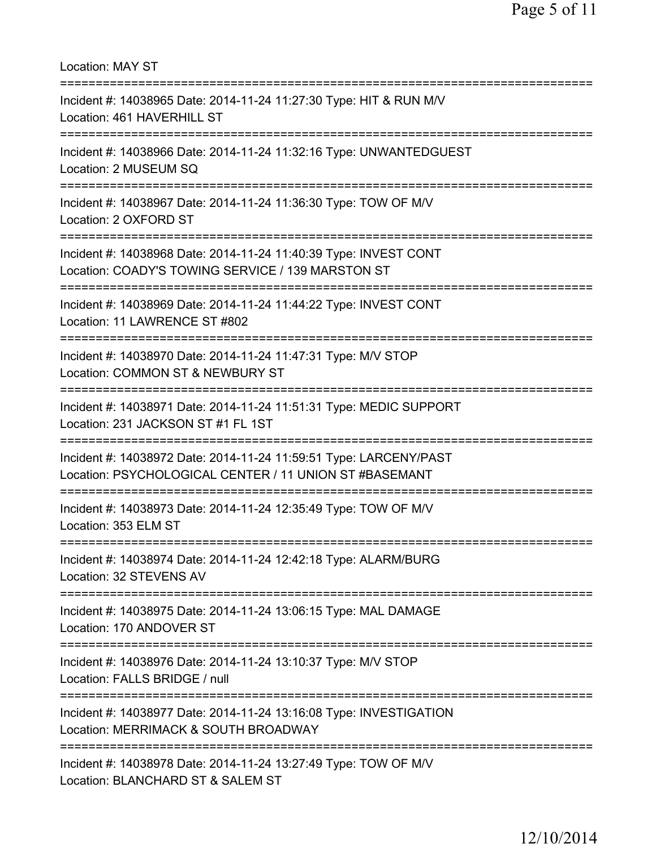Location: MAY ST =========================================================================== Incident #: 14038965 Date: 2014-11-24 11:27:30 Type: HIT & RUN M/V Location: 461 HAVERHILL ST =========================================================================== Incident #: 14038966 Date: 2014-11-24 11:32:16 Type: UNWANTEDGUEST Location: 2 MUSEUM SQ =========================================================================== Incident #: 14038967 Date: 2014-11-24 11:36:30 Type: TOW OF M/V Location: 2 OXFORD ST =========================================================================== Incident #: 14038968 Date: 2014-11-24 11:40:39 Type: INVEST CONT Location: COADY'S TOWING SERVICE / 139 MARSTON ST =========================================================================== Incident #: 14038969 Date: 2014-11-24 11:44:22 Type: INVEST CONT Location: 11 LAWRENCE ST #802 =========================================================================== Incident #: 14038970 Date: 2014-11-24 11:47:31 Type: M/V STOP Location: COMMON ST & NEWBURY ST =========================================================================== Incident #: 14038971 Date: 2014-11-24 11:51:31 Type: MEDIC SUPPORT Location: 231 JACKSON ST #1 FL 1ST =========================================================================== Incident #: 14038972 Date: 2014-11-24 11:59:51 Type: LARCENY/PAST Location: PSYCHOLOGICAL CENTER / 11 UNION ST #BASEMANT =========================================================================== Incident #: 14038973 Date: 2014-11-24 12:35:49 Type: TOW OF M/V Location: 353 ELM ST =========================================================================== Incident #: 14038974 Date: 2014-11-24 12:42:18 Type: ALARM/BURG Location: 32 STEVENS AV =========================================================================== Incident #: 14038975 Date: 2014-11-24 13:06:15 Type: MAL DAMAGE Location: 170 ANDOVER ST =========================================================================== Incident #: 14038976 Date: 2014-11-24 13:10:37 Type: M/V STOP Location: FALLS BRIDGE / null =========================================================================== Incident #: 14038977 Date: 2014-11-24 13:16:08 Type: INVESTIGATION Location: MERRIMACK & SOUTH BROADWAY =========================================================================== Incident #: 14038978 Date: 2014-11-24 13:27:49 Type: TOW OF M/V Location: BLANCHARD ST & SALEM ST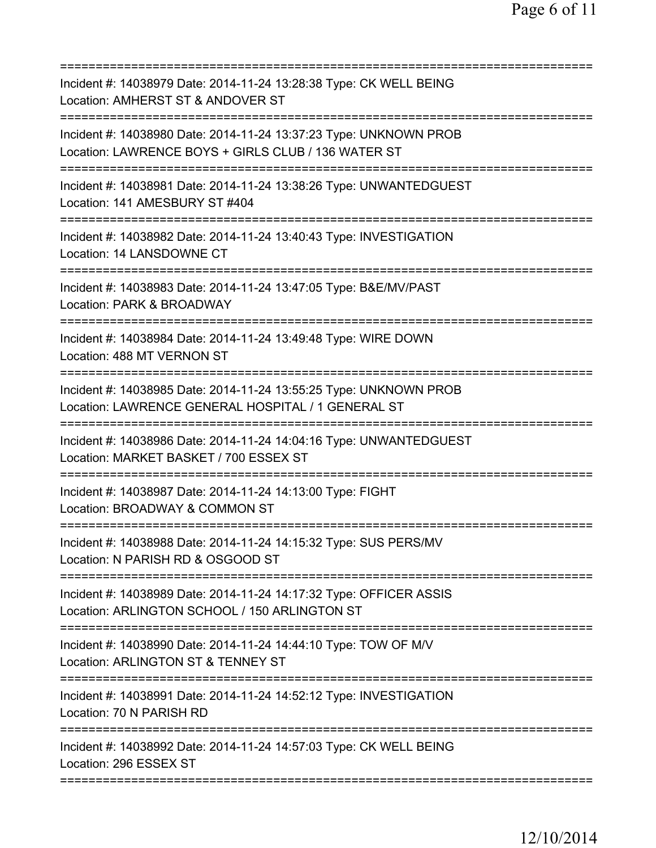=========================================================================== Incident #: 14038979 Date: 2014-11-24 13:28:38 Type: CK WELL BEING Location: AMHERST ST & ANDOVER ST =========================================================================== Incident #: 14038980 Date: 2014-11-24 13:37:23 Type: UNKNOWN PROB Location: LAWRENCE BOYS + GIRLS CLUB / 136 WATER ST =========================================================================== Incident #: 14038981 Date: 2014-11-24 13:38:26 Type: UNWANTEDGUEST Location: 141 AMESBURY ST #404 =========================================================================== Incident #: 14038982 Date: 2014-11-24 13:40:43 Type: INVESTIGATION Location: 14 LANSDOWNE CT =========================================================================== Incident #: 14038983 Date: 2014-11-24 13:47:05 Type: B&E/MV/PAST Location: PARK & BROADWAY =========================================================================== Incident #: 14038984 Date: 2014-11-24 13:49:48 Type: WIRE DOWN Location: 488 MT VERNON ST =========================================================================== Incident #: 14038985 Date: 2014-11-24 13:55:25 Type: UNKNOWN PROB Location: LAWRENCE GENERAL HOSPITAL / 1 GENERAL ST =========================================================================== Incident #: 14038986 Date: 2014-11-24 14:04:16 Type: UNWANTEDGUEST Location: MARKET BASKET / 700 ESSEX ST =========================================================================== Incident #: 14038987 Date: 2014-11-24 14:13:00 Type: FIGHT Location: BROADWAY & COMMON ST =========================================================================== Incident #: 14038988 Date: 2014-11-24 14:15:32 Type: SUS PERS/MV Location: N PARISH RD & OSGOOD ST =========================================================================== Incident #: 14038989 Date: 2014-11-24 14:17:32 Type: OFFICER ASSIS Location: ARLINGTON SCHOOL / 150 ARLINGTON ST =========================================================================== Incident #: 14038990 Date: 2014-11-24 14:44:10 Type: TOW OF M/V Location: ARLINGTON ST & TENNEY ST =========================================================================== Incident #: 14038991 Date: 2014-11-24 14:52:12 Type: INVESTIGATION Location: 70 N PARISH RD =========================================================================== Incident #: 14038992 Date: 2014-11-24 14:57:03 Type: CK WELL BEING Location: 296 ESSEX ST ===========================================================================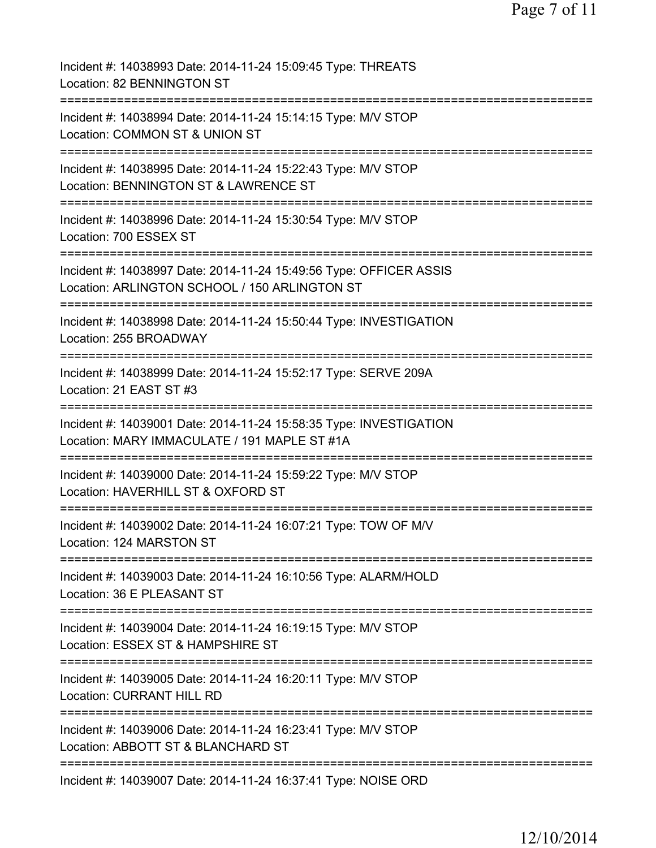| Incident #: 14038993 Date: 2014-11-24 15:09:45 Type: THREATS<br>Location: 82 BENNINGTON ST                                        |
|-----------------------------------------------------------------------------------------------------------------------------------|
| Incident #: 14038994 Date: 2014-11-24 15:14:15 Type: M/V STOP<br>Location: COMMON ST & UNION ST                                   |
| Incident #: 14038995 Date: 2014-11-24 15:22:43 Type: M/V STOP<br>Location: BENNINGTON ST & LAWRENCE ST                            |
| Incident #: 14038996 Date: 2014-11-24 15:30:54 Type: M/V STOP<br>Location: 700 ESSEX ST                                           |
| Incident #: 14038997 Date: 2014-11-24 15:49:56 Type: OFFICER ASSIS<br>Location: ARLINGTON SCHOOL / 150 ARLINGTON ST               |
| Incident #: 14038998 Date: 2014-11-24 15:50:44 Type: INVESTIGATION<br>Location: 255 BROADWAY                                      |
| Incident #: 14038999 Date: 2014-11-24 15:52:17 Type: SERVE 209A<br>Location: 21 EAST ST #3                                        |
| Incident #: 14039001 Date: 2014-11-24 15:58:35 Type: INVESTIGATION<br>Location: MARY IMMACULATE / 191 MAPLE ST #1A                |
| Incident #: 14039000 Date: 2014-11-24 15:59:22 Type: M/V STOP<br>Location: HAVERHILL ST & OXFORD ST                               |
| Incident #: 14039002 Date: 2014-11-24 16:07:21 Type: TOW OF M/V<br>Location: 124 MARSTON ST                                       |
| Incident #: 14039003 Date: 2014-11-24 16:10:56 Type: ALARM/HOLD<br>Location: 36 E PLEASANT ST                                     |
| Incident #: 14039004 Date: 2014-11-24 16:19:15 Type: M/V STOP<br>Location: ESSEX ST & HAMPSHIRE ST                                |
| Incident #: 14039005 Date: 2014-11-24 16:20:11 Type: M/V STOP<br><b>Location: CURRANT HILL RD</b>                                 |
| ==========================<br>Incident #: 14039006 Date: 2014-11-24 16:23:41 Type: M/V STOP<br>Location: ABBOTT ST & BLANCHARD ST |
| Incident #: 14039007 Date: 2014-11-24 16:37:41 Type: NOISE ORD                                                                    |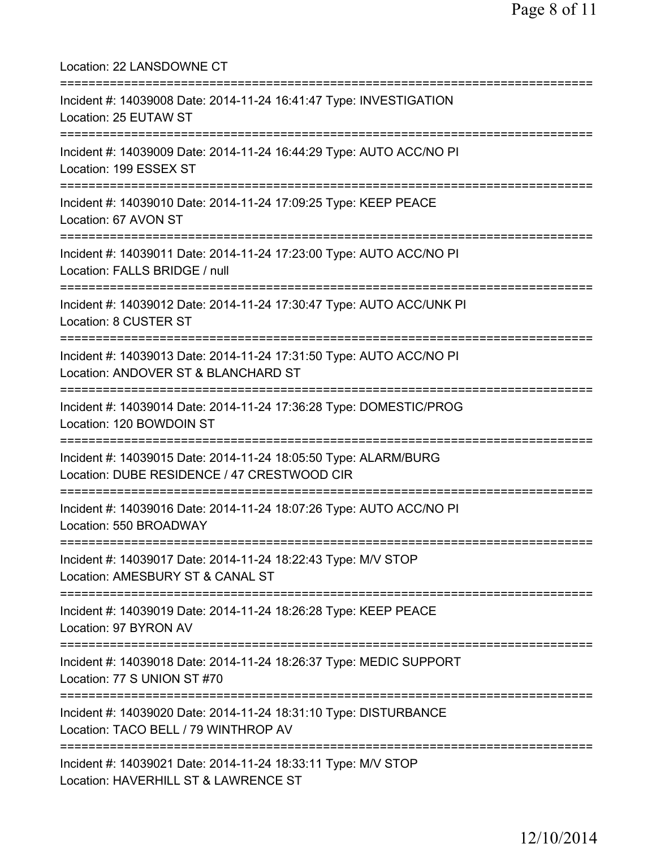Location: 22 LANSDOWNE CT =========================================================================== Incident #: 14039008 Date: 2014-11-24 16:41:47 Type: INVESTIGATION Location: 25 EUTAW ST =========================================================================== Incident #: 14039009 Date: 2014-11-24 16:44:29 Type: AUTO ACC/NO PI Location: 199 ESSEX ST =========================================================================== Incident #: 14039010 Date: 2014-11-24 17:09:25 Type: KEEP PEACE Location: 67 AVON ST =========================================================================== Incident #: 14039011 Date: 2014-11-24 17:23:00 Type: AUTO ACC/NO PI Location: FALLS BRIDGE / null =========================================================================== Incident #: 14039012 Date: 2014-11-24 17:30:47 Type: AUTO ACC/UNK PI Location: 8 CUSTER ST =========================================================================== Incident #: 14039013 Date: 2014-11-24 17:31:50 Type: AUTO ACC/NO PI Location: ANDOVER ST & BLANCHARD ST =========================================================================== Incident #: 14039014 Date: 2014-11-24 17:36:28 Type: DOMESTIC/PROG Location: 120 BOWDOIN ST =========================================================================== Incident #: 14039015 Date: 2014-11-24 18:05:50 Type: ALARM/BURG Location: DUBE RESIDENCE / 47 CRESTWOOD CIR =========================================================================== Incident #: 14039016 Date: 2014-11-24 18:07:26 Type: AUTO ACC/NO PI Location: 550 BROADWAY =========================================================================== Incident #: 14039017 Date: 2014-11-24 18:22:43 Type: M/V STOP Location: AMESBURY ST & CANAL ST =========================================================================== Incident #: 14039019 Date: 2014-11-24 18:26:28 Type: KEEP PEACE Location: 97 BYRON AV =========================================================================== Incident #: 14039018 Date: 2014-11-24 18:26:37 Type: MEDIC SUPPORT Location: 77 S UNION ST #70 =========================================================================== Incident #: 14039020 Date: 2014-11-24 18:31:10 Type: DISTURBANCE Location: TACO BELL / 79 WINTHROP AV =========================================================================== Incident #: 14039021 Date: 2014-11-24 18:33:11 Type: M/V STOP Location: HAVERHILL ST & LAWRENCE ST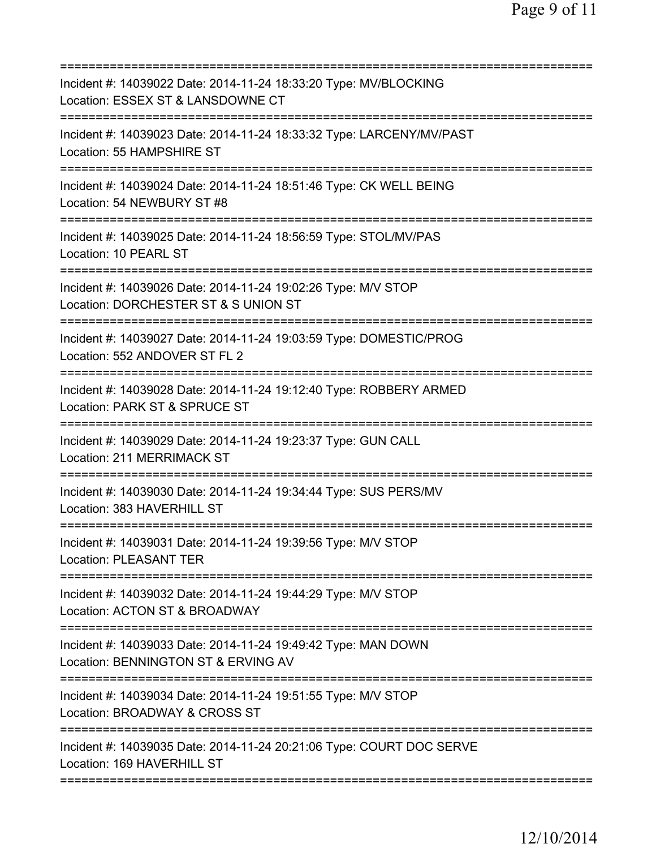| Incident #: 14039022 Date: 2014-11-24 18:33:20 Type: MV/BLOCKING<br>Location: ESSEX ST & LANSDOWNE CT                                    |
|------------------------------------------------------------------------------------------------------------------------------------------|
| Incident #: 14039023 Date: 2014-11-24 18:33:32 Type: LARCENY/MV/PAST<br>Location: 55 HAMPSHIRE ST                                        |
| Incident #: 14039024 Date: 2014-11-24 18:51:46 Type: CK WELL BEING<br>Location: 54 NEWBURY ST #8                                         |
| Incident #: 14039025 Date: 2014-11-24 18:56:59 Type: STOL/MV/PAS<br>Location: 10 PEARL ST                                                |
| Incident #: 14039026 Date: 2014-11-24 19:02:26 Type: M/V STOP<br>Location: DORCHESTER ST & S UNION ST                                    |
| Incident #: 14039027 Date: 2014-11-24 19:03:59 Type: DOMESTIC/PROG<br>Location: 552 ANDOVER ST FL 2                                      |
| Incident #: 14039028 Date: 2014-11-24 19:12:40 Type: ROBBERY ARMED<br>Location: PARK ST & SPRUCE ST<br>============                      |
| Incident #: 14039029 Date: 2014-11-24 19:23:37 Type: GUN CALL<br>Location: 211 MERRIMACK ST                                              |
| Incident #: 14039030 Date: 2014-11-24 19:34:44 Type: SUS PERS/MV<br>Location: 383 HAVERHILL ST                                           |
| Incident #: 14039031 Date: 2014-11-24 19:39:56 Type: M/V STOP<br><b>Location: PLEASANT TER</b>                                           |
| Incident #: 14039032 Date: 2014-11-24 19:44:29 Type: M/V STOP<br>Location: ACTON ST & BROADWAY                                           |
| Incident #: 14039033 Date: 2014-11-24 19:49:42 Type: MAN DOWN<br>Location: BENNINGTON ST & ERVING AV<br>================================ |
| Incident #: 14039034 Date: 2014-11-24 19:51:55 Type: M/V STOP<br>Location: BROADWAY & CROSS ST                                           |
| Incident #: 14039035 Date: 2014-11-24 20:21:06 Type: COURT DOC SERVE<br>Location: 169 HAVERHILL ST                                       |
|                                                                                                                                          |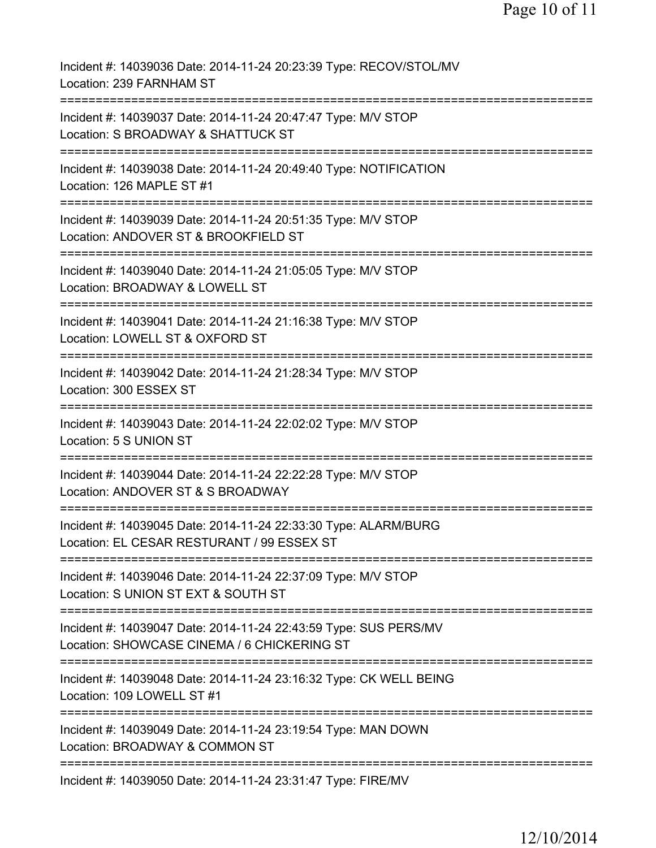| Incident #: 14039036 Date: 2014-11-24 20:23:39 Type: RECOV/STOL/MV<br>Location: 239 FARNHAM ST                                 |
|--------------------------------------------------------------------------------------------------------------------------------|
| Incident #: 14039037 Date: 2014-11-24 20:47:47 Type: M/V STOP<br>Location: S BROADWAY & SHATTUCK ST                            |
| Incident #: 14039038 Date: 2014-11-24 20:49:40 Type: NOTIFICATION<br>Location: 126 MAPLE ST #1                                 |
| Incident #: 14039039 Date: 2014-11-24 20:51:35 Type: M/V STOP<br>Location: ANDOVER ST & BROOKFIELD ST                          |
| Incident #: 14039040 Date: 2014-11-24 21:05:05 Type: M/V STOP<br>Location: BROADWAY & LOWELL ST                                |
| Incident #: 14039041 Date: 2014-11-24 21:16:38 Type: M/V STOP<br>Location: LOWELL ST & OXFORD ST                               |
| Incident #: 14039042 Date: 2014-11-24 21:28:34 Type: M/V STOP<br>Location: 300 ESSEX ST<br>:================================== |
| Incident #: 14039043 Date: 2014-11-24 22:02:02 Type: M/V STOP<br>Location: 5 S UNION ST                                        |
| Incident #: 14039044 Date: 2014-11-24 22:22:28 Type: M/V STOP<br>Location: ANDOVER ST & S BROADWAY                             |
| Incident #: 14039045 Date: 2014-11-24 22:33:30 Type: ALARM/BURG<br>Location: EL CESAR RESTURANT / 99 ESSEX ST                  |
| Incident #: 14039046 Date: 2014-11-24 22:37:09 Type: M/V STOP<br>Location: S UNION ST EXT & SOUTH ST                           |
| Incident #: 14039047 Date: 2014-11-24 22:43:59 Type: SUS PERS/MV<br>Location: SHOWCASE CINEMA / 6 CHICKERING ST                |
| Incident #: 14039048 Date: 2014-11-24 23:16:32 Type: CK WELL BEING<br>Location: 109 LOWELL ST #1                               |
| Incident #: 14039049 Date: 2014-11-24 23:19:54 Type: MAN DOWN<br>Location: BROADWAY & COMMON ST                                |
| Incident #: 14039050 Date: 2014-11-24 23:31:47 Type: FIRE/MV                                                                   |